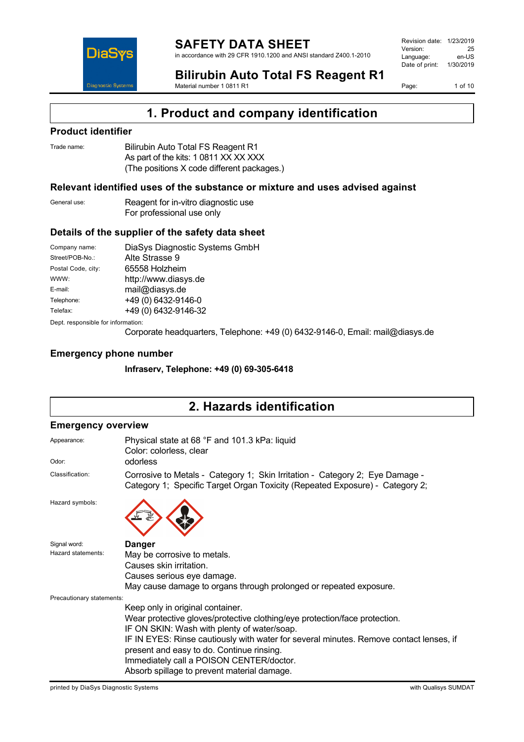

Revision date: 1/23/2019 Version: 25<br>Language: en-LIS Language: Date of print: 1/30/2019

**Bilirubin Auto Total FS Reagent R1** Material number 1 0811 R1

Page: 1 of 10

## **1. Product and company identification**

#### **Product identifier**

| Trade name: | Bilirubin Auto Total FS Reagent R1         |
|-------------|--------------------------------------------|
|             | As part of the kits: 1 0811 XX XX XXX      |
|             | (The positions X code different packages.) |

#### **Relevant identified uses of the substance or mixture and uses advised against**

| General use: | Reagent for in-vitro diagnostic use |
|--------------|-------------------------------------|
|              | For professional use only           |

### **Details of the supplier of the safety data sheet**

| Company name:                      | DiaSys Diagnostic Systems GmbH |  |
|------------------------------------|--------------------------------|--|
| Street/POB-No.:                    | Alte Strasse 9                 |  |
| Postal Code, city:                 | 65558 Holzheim                 |  |
| WWW:                               | http://www.diasys.de           |  |
| E-mail:                            | mail@diasys.de                 |  |
| Telephone:                         | +49 (0) 6432-9146-0            |  |
| Telefax:                           | +49 (0) 6432-9146-32           |  |
| Dept. responsible for information: |                                |  |

Corporate headquarters, Telephone: +49 (0) 6432-9146-0, Email: mail@diasys.de

#### **Emergency phone number**

**Infraserv, Telephone: +49 (0) 69-305-6418**

# **2. Hazards identification**

#### **Emergency overview**

| Appearance:               | Physical state at 68 °F and 101.3 kPa: liquid<br>Color: colorless, clear                                                                                     |  |  |
|---------------------------|--------------------------------------------------------------------------------------------------------------------------------------------------------------|--|--|
| Odor:                     | odorless                                                                                                                                                     |  |  |
| Classification:           | Corrosive to Metals - Category 1; Skin Irritation - Category 2; Eye Damage -<br>Category 1; Specific Target Organ Toxicity (Repeated Exposure) - Category 2; |  |  |
| Hazard symbols:           |                                                                                                                                                              |  |  |
| Signal word:              | <b>Danger</b>                                                                                                                                                |  |  |
| Hazard statements:        | May be corrosive to metals.                                                                                                                                  |  |  |
|                           | Causes skin irritation.                                                                                                                                      |  |  |
|                           | Causes serious eye damage.                                                                                                                                   |  |  |
|                           | May cause damage to organs through prolonged or repeated exposure.                                                                                           |  |  |
| Precautionary statements: |                                                                                                                                                              |  |  |
|                           | Keep only in original container.                                                                                                                             |  |  |
|                           | Wear protective gloves/protective clothing/eye protection/face protection.                                                                                   |  |  |
|                           | IF ON SKIN: Wash with plenty of water/soap.                                                                                                                  |  |  |
|                           | IF IN EYES: Rinse cautiously with water for several minutes. Remove contact lenses, if                                                                       |  |  |
|                           | present and easy to do. Continue rinsing.                                                                                                                    |  |  |
|                           | Immediately call a POISON CENTER/doctor.                                                                                                                     |  |  |
|                           | Absorb spillage to prevent material damage.                                                                                                                  |  |  |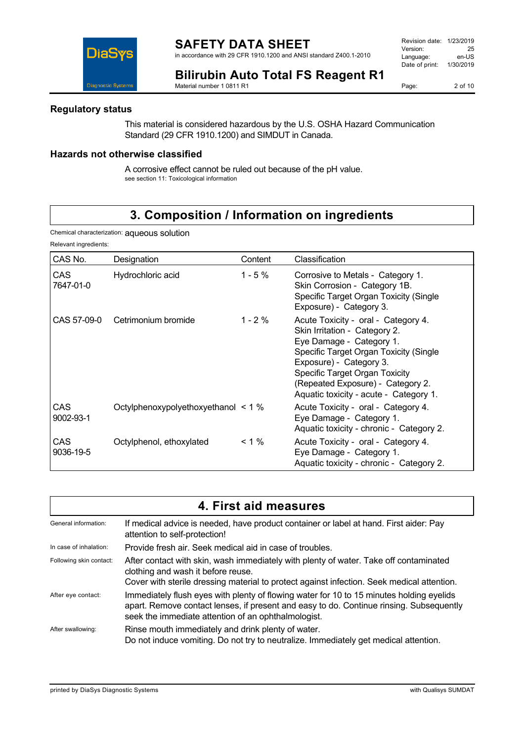in accordance with 29 CFR 1910.1200 and ANSI standard Z400.1-2010

Revision date: 1/23/2019 Version: 25<br>
Language: en-US Language: Date of print: 1/30/2019



**Bilirubin Auto Total FS Reagent R1** Material number 1 0811 R1

Page: 2 of 10

### **Regulatory status**

This material is considered hazardous by the U.S. OSHA Hazard Communication Standard (29 CFR 1910.1200) and SIMDUT in Canada.

### **Hazards not otherwise classified**

A corrosive effect cannot be ruled out because of the pH value. see section 11: Toxicological information

# **3. Composition / Information on ingredients**

Chemical characterization: aqueous solution

Relevant ingredients:

| CAS No.           | Designation                         | Content    | Classification                                                                                                                                                                                                                                                                         |
|-------------------|-------------------------------------|------------|----------------------------------------------------------------------------------------------------------------------------------------------------------------------------------------------------------------------------------------------------------------------------------------|
| CAS<br>7647-01-0  | Hydrochloric acid                   | $1 - 5 \%$ | Corrosive to Metals - Category 1.<br>Skin Corrosion - Category 1B.<br>Specific Target Organ Toxicity (Single<br>Exposure) - Category 3.                                                                                                                                                |
|                   | CAS 57-09-0 Cetrimonium bromide     | $1 - 2 \%$ | Acute Toxicity - oral - Category 4.<br>Skin Irritation - Category 2.<br>Eye Damage - Category 1.<br>Specific Target Organ Toxicity (Single<br>Exposure) - Category 3.<br>Specific Target Organ Toxicity<br>(Repeated Exposure) - Category 2.<br>Aquatic toxicity - acute - Category 1. |
| CAS.<br>9002-93-1 | Octylphenoxypolyethoxyethanol < 1 % |            | Acute Toxicity - oral - Category 4.<br>Eye Damage - Category 1.<br>Aquatic toxicity - chronic - Category 2.                                                                                                                                                                            |
| CAS<br>9036-19-5  | Octylphenol, ethoxylated            | $< 1\%$    | Acute Toxicity - oral - Category 4.<br>Eye Damage - Category 1.<br>Aquatic toxicity - chronic - Category 2.                                                                                                                                                                            |

| 4. First aid measures   |                                                                                                                                                                                                                                            |  |
|-------------------------|--------------------------------------------------------------------------------------------------------------------------------------------------------------------------------------------------------------------------------------------|--|
| General information:    | If medical advice is needed, have product container or label at hand. First aider: Pay<br>attention to self-protection!                                                                                                                    |  |
| In case of inhalation:  | Provide fresh air. Seek medical aid in case of troubles.                                                                                                                                                                                   |  |
| Following skin contact: | After contact with skin, wash immediately with plenty of water. Take off contaminated<br>clothing and wash it before reuse.<br>Cover with sterile dressing material to protect against infection. Seek medical attention.                  |  |
| After eye contact:      | Immediately flush eyes with plenty of flowing water for 10 to 15 minutes holding eyelids<br>apart. Remove contact lenses, if present and easy to do. Continue rinsing. Subsequently<br>seek the immediate attention of an ophthalmologist. |  |
| After swallowing:       | Rinse mouth immediately and drink plenty of water.<br>Do not induce vomiting. Do not try to neutralize. Immediately get medical attention.                                                                                                 |  |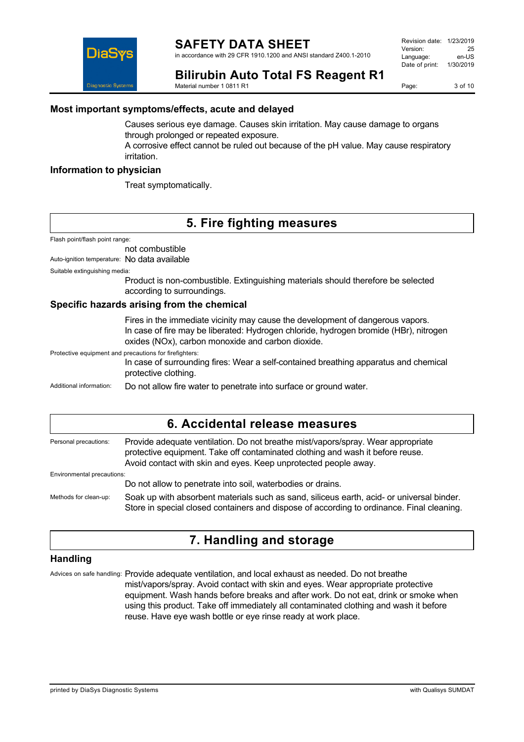in accordance with 29 CFR 1910.1200 and ANSI standard Z400.1-2010

**Bilirubin Auto Total FS Reagent R1**

Material number 1 0811 R1

Page: 3 of 10

### **Most important symptoms/effects, acute and delayed**

Causes serious eye damage. Causes skin irritation. May cause damage to organs through prolonged or repeated exposure.

A corrosive effect cannot be ruled out because of the pH value. May cause respiratory irritation.

#### **Information to physician**

DiaS

iaonostic System

Treat symptomatically.

## **5. Fire fighting measures**

Flash point/flash point range:

not combustible

Auto-ignition temperature: No data available

Suitable extinguishing media:

Product is non-combustible. Extinguishing materials should therefore be selected according to surroundings.

#### **Specific hazards arising from the chemical**

Fires in the immediate vicinity may cause the development of dangerous vapors. In case of fire may be liberated: Hydrogen chloride, hydrogen bromide (HBr), nitrogen oxides (NOx), carbon monoxide and carbon dioxide.

Protective equipment and precautions for firefighters: In case of surrounding fires: Wear a self-contained breathing apparatus and chemical protective clothing. Additional information: Do not allow fire water to penetrate into surface or ground water.

### **6. Accidental release measures**

Personal precautions: Provide adequate ventilation. Do not breathe mist/vapors/spray. Wear appropriate protective equipment. Take off contaminated clothing and wash it before reuse. Avoid contact with skin and eyes. Keep unprotected people away. Environmental precautions: Do not allow to penetrate into soil, waterbodies or drains. Methods for clean-up: Soak up with absorbent materials such as sand, siliceus earth, acid- or universal binder. Store in special closed containers and dispose of according to ordinance. Final cleaning.

## **7. Handling and storage**

### **Handling**

Advices on safe handling: Provide adequate ventilation, and local exhaust as needed. Do not breathe mist/vapors/spray. Avoid contact with skin and eyes. Wear appropriate protective equipment. Wash hands before breaks and after work. Do not eat, drink or smoke when using this product. Take off immediately all contaminated clothing and wash it before reuse. Have eye wash bottle or eye rinse ready at work place.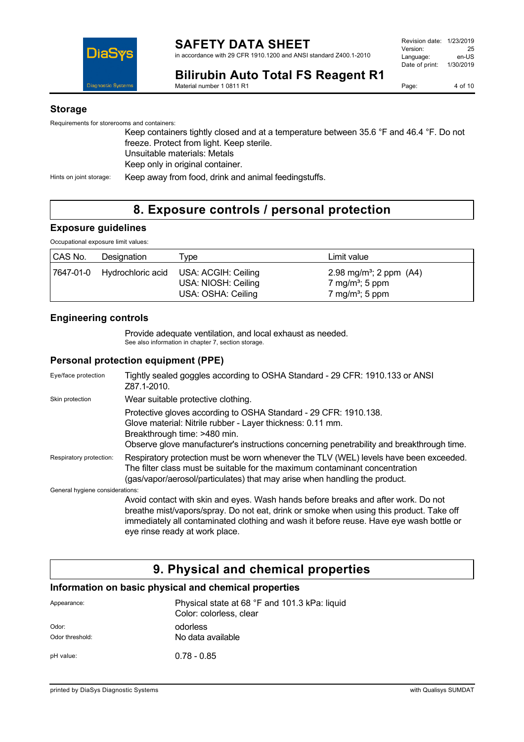

| Revision date: 1/23/2019 |           |
|--------------------------|-----------|
| Version:                 | 25        |
| Language:                | en-US     |
| Date of print:           | 1/30/2019 |
|                          |           |

**Bilirubin Auto Total FS Reagent R1** Material number 1 0811 R1

Page: 4 of 10

#### **Storage**

Requirements for storerooms and containers: Keep containers tightly closed and at a temperature between 35.6 °F and 46.4 °F. Do not freeze. Protect from light. Keep sterile. Unsuitable materials: Metals Keep only in original container. Hints on joint storage: Keep away from food, drink and animal feedingstuffs.

# **8. Exposure controls / personal protection**

#### **Exposure guidelines**

Occupational exposure limit values:

| CAS No. | Designation                 | Type                                                             | Limit value                                                                                         |
|---------|-----------------------------|------------------------------------------------------------------|-----------------------------------------------------------------------------------------------------|
|         | 7647-01-0 Hydrochloric acid | USA: ACGIH: Ceiling<br>USA: NIOSH: Ceiling<br>USA: OSHA: Ceiling | 2.98 mg/m <sup>3</sup> ; 2 ppm $(A4)$<br>7 mg/m <sup>3</sup> ; 5 ppm<br>7 mg/m <sup>3</sup> ; 5 ppm |

### **Engineering controls**

Provide adequate ventilation, and local exhaust as needed. See also information in chapter 7, section storage.

#### **Personal protection equipment (PPE)**

| Eye/face protection             | Tightly sealed goggles according to OSHA Standard - 29 CFR: 1910.133 or ANSI<br>Z87.1-2010.                                                                                                                                                                                                               |
|---------------------------------|-----------------------------------------------------------------------------------------------------------------------------------------------------------------------------------------------------------------------------------------------------------------------------------------------------------|
| Skin protection                 | Wear suitable protective clothing.                                                                                                                                                                                                                                                                        |
|                                 | Protective gloves according to OSHA Standard - 29 CFR: 1910.138.<br>Glove material: Nitrile rubber - Layer thickness: 0.11 mm.<br>Breakthrough time: >480 min.<br>Observe glove manufacturer's instructions concerning penetrability and breakthrough time.                                               |
| Respiratory protection:         | Respiratory protection must be worn whenever the TLV (WEL) levels have been exceeded.<br>The filter class must be suitable for the maximum contaminant concentration<br>(gas/vapor/aerosol/particulates) that may arise when handling the product.                                                        |
| General hygiene considerations: |                                                                                                                                                                                                                                                                                                           |
|                                 | Avoid contact with skin and eyes. Wash hands before breaks and after work. Do not<br>breathe mist/vapors/spray. Do not eat, drink or smoke when using this product. Take off<br>immediately all contaminated clothing and wash it before reuse. Have eye wash bottle or<br>eye rinse ready at work place. |

## **9. Physical and chemical properties**

#### **Information on basic physical and chemical properties**

| Appearance:              | Physical state at 68 °F and 101.3 kPa: liquid<br>Color: colorless, clear |
|--------------------------|--------------------------------------------------------------------------|
| Odor:<br>Odor threshold: | odorless<br>No data available                                            |
| pH value:                | $0.78 - 0.85$                                                            |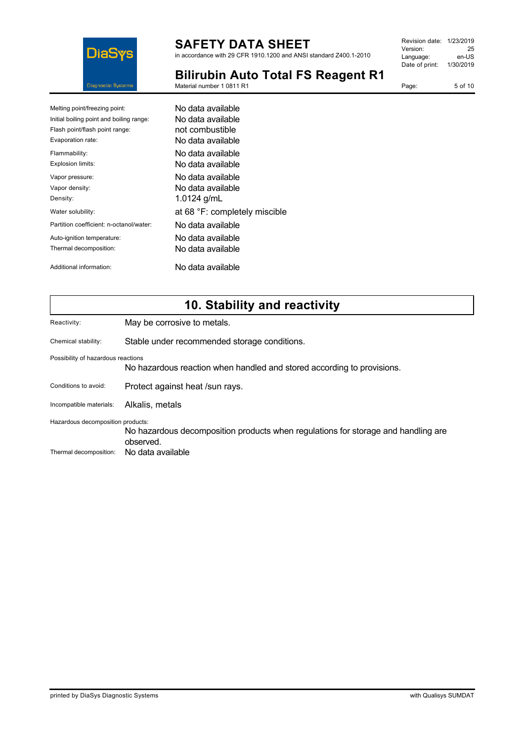

in accordance with 29 CFR 1910.1200 and ANSI standard Z400.1-2010

| Revision date: 1/23/2019 |           |
|--------------------------|-----------|
| Version:                 | 25        |
| Language:                | en-US     |
| Date of print:           | 1/30/2019 |
|                          |           |

Page: 5 of 10

**Bilirubin Auto Total FS Reagent R1**

Material number 1 0811 R1

| Melting point/freezing point:            | No data available             |
|------------------------------------------|-------------------------------|
| Initial boiling point and boiling range: | No data available             |
| Flash point/flash point range:           | not combustible               |
| Evaporation rate:                        | No data available             |
| Flammability:                            | No data available             |
| Explosion limits:                        | No data available             |
| Vapor pressure:                          | No data available             |
| Vapor density:                           | No data available             |
| Density:                                 | 1.0124 g/mL                   |
| Water solubility:                        | at 68 °F: completely miscible |
| Partition coefficient: n-octanol/water:  | No data available             |
| Auto-ignition temperature:               | No data available             |
| Thermal decomposition:                   | No data available             |
| Additional information:                  | No data available             |

## **10. Stability and reactivity**

Reactivity: May be corrosive to metals.

Chemical stability: Stable under recommended storage conditions.

Possibility of hazardous reactions

No hazardous reaction when handled and stored according to provisions.

Conditions to avoid: Protect against heat /sun rays.

Incompatible materials: Alkalis, metals

Hazardous decomposition products:

No hazardous decomposition products when regulations for storage and handling are observed. Thermal decomposition: No data available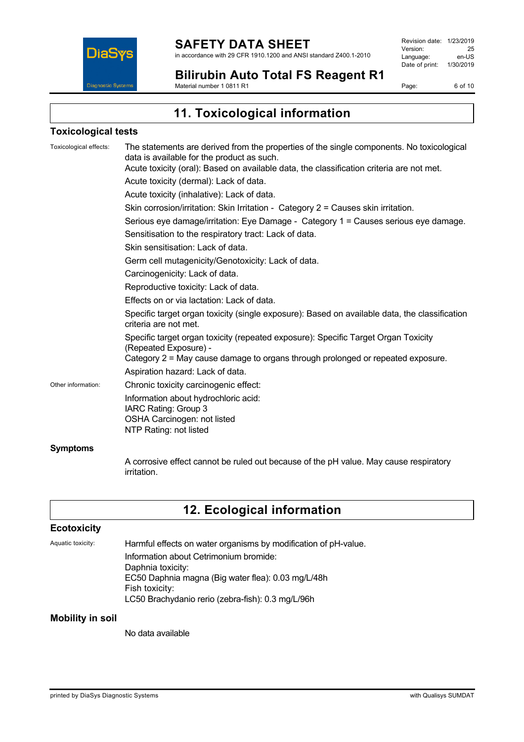

Revision date: 1/23/2019 Version: 25<br>
Language: en-US Language: Date of print: 1/30/2019

**Bilirubin Auto Total FS Reagent R1** Material number 1 0811 R1

Page: 6 of 10

**11. Toxicological information**

#### **Toxicological tests**

| Toxicological effects: | The statements are derived from the properties of the single components. No toxicological<br>data is available for the product as such.<br>Acute toxicity (oral): Based on available data, the classification criteria are not met. |
|------------------------|-------------------------------------------------------------------------------------------------------------------------------------------------------------------------------------------------------------------------------------|
|                        | Acute toxicity (dermal): Lack of data.                                                                                                                                                                                              |
|                        | Acute toxicity (inhalative): Lack of data.                                                                                                                                                                                          |
|                        | Skin corrosion/irritation: Skin Irritation - Category 2 = Causes skin irritation.                                                                                                                                                   |
|                        | Serious eye damage/irritation: Eye Damage - Category 1 = Causes serious eye damage.                                                                                                                                                 |
|                        | Sensitisation to the respiratory tract: Lack of data.                                                                                                                                                                               |
|                        | Skin sensitisation: Lack of data.                                                                                                                                                                                                   |
|                        | Germ cell mutagenicity/Genotoxicity: Lack of data.                                                                                                                                                                                  |
|                        | Carcinogenicity: Lack of data.                                                                                                                                                                                                      |
|                        | Reproductive toxicity: Lack of data.                                                                                                                                                                                                |
|                        | Effects on or via lactation: Lack of data.                                                                                                                                                                                          |
|                        | Specific target organ toxicity (single exposure): Based on available data, the classification<br>criteria are not met.                                                                                                              |
|                        | Specific target organ toxicity (repeated exposure): Specific Target Organ Toxicity<br>(Repeated Exposure) -                                                                                                                         |
|                        | Category 2 = May cause damage to organs through prolonged or repeated exposure.                                                                                                                                                     |
|                        | Aspiration hazard: Lack of data.                                                                                                                                                                                                    |
| Other information:     | Chronic toxicity carcinogenic effect:                                                                                                                                                                                               |
|                        | Information about hydrochloric acid:<br>IARC Rating: Group 3<br>OSHA Carcinogen: not listed<br>NTP Rating: not listed                                                                                                               |
| <b>Symptoms</b>        |                                                                                                                                                                                                                                     |
|                        | A corrosive effect cannot be ruled out because of the pH value. May cause respiratory                                                                                                                                               |

# **12. Ecological information**

### **Ecotoxicity**

Aquatic toxicity: Harmful effects on water organisms by modification of pH-value. Information about Cetrimonium bromide: Daphnia toxicity: EC50 Daphnia magna (Big water flea): 0.03 mg/L/48h Fish toxicity: LC50 Brachydanio rerio (zebra-fish): 0.3 mg/L/96h

#### **Mobility in soil**

No data available

irritation.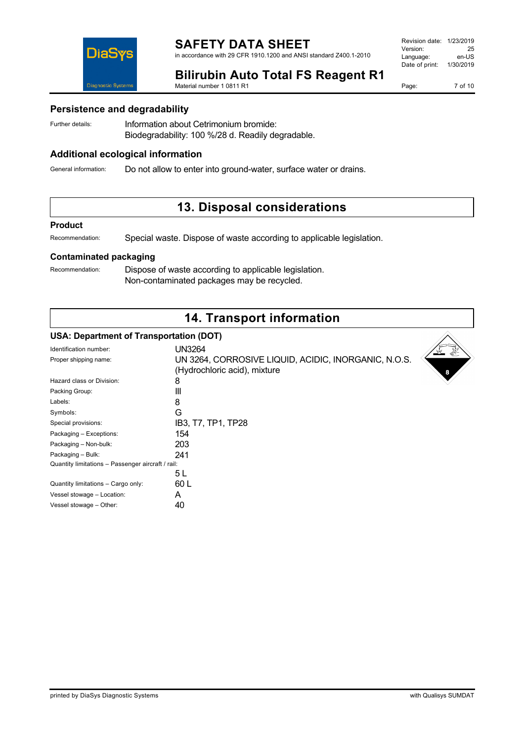in accordance with 29 CFR 1910.1200 and ANSI standard Z400.1-2010

| Revision date: | 1/23/2019 |
|----------------|-----------|
| Version:       | 25        |
| Language:      | en-US     |
| Date of print: | 1/30/2019 |
|                |           |

### **Bilirubin Auto Total FS Reagent R1**

Material number 1 0811 R1

Page: 7 of 10

#### **Persistence and degradability**

DiaS

**Diagnostic Systen** 

Further details: **Information about Cetrimonium bromide:** Biodegradability: 100 %/28 d. Readily degradable.

#### **Additional ecological information**

General information: Do not allow to enter into ground-water, surface water or drains.

## **13. Disposal considerations**

#### **Product**

Recommendation: Special waste. Dispose of waste according to applicable legislation.

#### **Contaminated packaging**

Recommendation: Dispose of waste according to applicable legislation. Non-contaminated packages may be recycled.

## **14. Transport information**

#### **USA: Department of Transportation (DOT)**

| Identification number:                            | <b>UN3264</b>                                        |
|---------------------------------------------------|------------------------------------------------------|
| Proper shipping name:                             | UN 3264, CORROSIVE LIQUID, ACIDIC, INORGANIC, N.O.S. |
|                                                   | (Hydrochloric acid), mixture                         |
| Hazard class or Division:                         | 8                                                    |
| Packing Group:                                    | Ш                                                    |
| Labels:                                           | 8                                                    |
| Symbols:                                          | G                                                    |
| Special provisions:                               | IB3, T7, TP1, TP28                                   |
| Packaging - Exceptions:                           | 154                                                  |
| Packaging - Non-bulk:                             | 203                                                  |
| Packaging - Bulk:                                 | 241                                                  |
| Quantity limitations - Passenger aircraft / rail: |                                                      |
|                                                   | 5 L                                                  |
| Quantity limitations - Cargo only:                | 60 L                                                 |
| Vessel stowage - Location:                        | A                                                    |
| Vessel stowage - Other:                           | 40                                                   |
|                                                   |                                                      |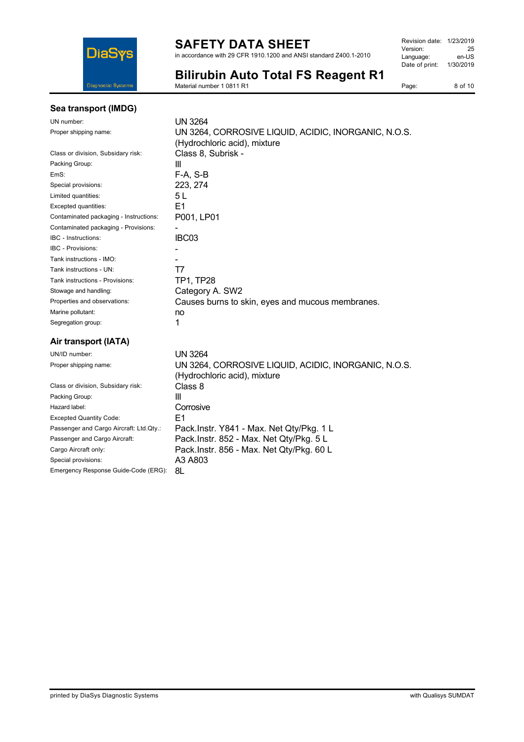

in accordance with 29 CFR 1910.1200 and ANSI standard Z400.1-2010

| Revision date: 1/23/2019 |           |
|--------------------------|-----------|
| Version:                 | 25        |
| Language:                | en-US     |
| Date of print:           | 1/30/2019 |
|                          |           |

**Bilirubin Auto Total FS Reagent R1**

Material number 1 0811 R1

### Page: 8 of 10

### **Sea transport (IMDG)**

| UN number:                             | UN 3264                                              |
|----------------------------------------|------------------------------------------------------|
| Proper shipping name:                  | UN 3264, CORROSIVE LIQUID, ACIDIC, INORGANIC, N.O.S. |
|                                        | (Hydrochloric acid), mixture                         |
| Class or division, Subsidary risk:     | Class 8, Subrisk -                                   |
| Packing Group:                         | Ш                                                    |
| EmS:                                   | $F-A, S-B$                                           |
| Special provisions:                    | 223, 274                                             |
| Limited quantities:                    | 5 L                                                  |
| Excepted quantities:                   | E1                                                   |
| Contaminated packaging - Instructions: | P001, LP01                                           |
| Contaminated packaging - Provisions:   |                                                      |
| IBC - Instructions:                    | IBC03                                                |
| IBC - Provisions:                      |                                                      |
| Tank instructions - IMO:               |                                                      |
| Tank instructions - UN:                | T7                                                   |
| Tank instructions - Provisions:        | TP1, TP28                                            |
| Stowage and handling:                  | Category A. SW2                                      |
| Properties and observations:           | Causes burns to skin, eyes and mucous membranes.     |
| Marine pollutant:                      | no                                                   |
| Segregation group:                     | 1                                                    |
| Air transport (IATA)                   |                                                      |
| UN/ID number:                          | <b>UN 3264</b>                                       |
| Proper shipping name:                  | UN 3264, CORROSIVE LIQUID, ACIDIC, INORGANIC, N.O.S. |
|                                        | (Hydrochloric acid), mixture                         |
| Class or division, Subsidary risk:     | Class 8                                              |
| Packing Group:                         | Ш                                                    |

| Class or division, Subsidary risk:      | ulass o                                  |
|-----------------------------------------|------------------------------------------|
| Packing Group:                          | Ш                                        |
| Hazard label:                           | Corrosive                                |
| <b>Excepted Quantity Code:</b>          | F1                                       |
| Passenger and Cargo Aircraft: Ltd.Qty.: | Pack.Instr. Y841 - Max. Net Qty/Pkg. 1 L |
| Passenger and Cargo Aircraft:           | Pack.Instr. 852 - Max. Net Qty/Pkg. 5 L  |
| Cargo Aircraft only:                    | Pack.Instr. 856 - Max. Net Qty/Pkg. 60 L |
| Special provisions:                     | A3 A803                                  |
| Emergency Response Guide-Code (ERG):    | 8L                                       |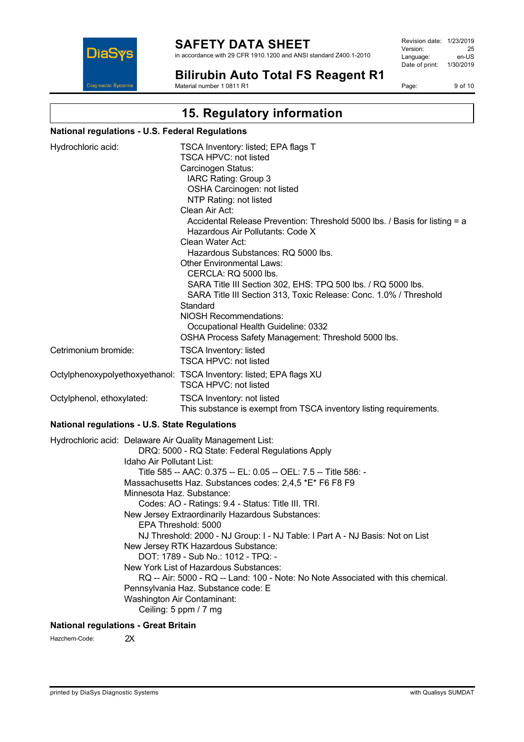

in accordance with 29 CFR 1910.1200 and ANSI standard Z400.1-2010

Revision date: 1/23/2019 Version: 25<br>Language: en-LIS Language: Date of print: 1/30/2019

**Bilirubin Auto Total FS Reagent R1** Material number 1 0811 R1

Page: 9 of 10

# **15. Regulatory information**

#### **National regulations - U.S. Federal Regulations**

| Hydrochloric acid:        | TSCA Inventory: listed; EPA flags T<br>TSCA HPVC: not listed                                                   |
|---------------------------|----------------------------------------------------------------------------------------------------------------|
|                           | Carcinogen Status:                                                                                             |
|                           |                                                                                                                |
|                           | IARC Rating: Group 3                                                                                           |
|                           | OSHA Carcinogen: not listed                                                                                    |
|                           | NTP Rating: not listed                                                                                         |
|                           | Clean Air Act:                                                                                                 |
|                           | Accidental Release Prevention: Threshold 5000 lbs. / Basis for listing = a<br>Hazardous Air Pollutants: Code X |
|                           | Clean Water Act:                                                                                               |
|                           | Hazardous Substances: RQ 5000 lbs.                                                                             |
|                           | Other Environmental Laws:                                                                                      |
|                           | CERCLA: RQ 5000 lbs.                                                                                           |
|                           | SARA Title III Section 302, EHS: TPQ 500 lbs. / RQ 5000 lbs.                                                   |
|                           | SARA Title III Section 313, Toxic Release: Conc. 1.0% / Threshold                                              |
|                           | Standard                                                                                                       |
|                           | <b>NIOSH Recommendations:</b>                                                                                  |
|                           | Occupational Health Guideline: 0332                                                                            |
|                           | OSHA Process Safety Management: Threshold 5000 lbs.                                                            |
| Cetrimonium bromide:      | <b>TSCA Inventory: listed</b>                                                                                  |
|                           | TSCA HPVC: not listed                                                                                          |
|                           | Octylphenoxypolyethoxyethanol: TSCA Inventory: listed; EPA flags XU                                            |
|                           | <b>TSCA HPVC: not listed</b>                                                                                   |
| Octylphenol, ethoxylated: | <b>TSCA Inventory: not listed</b>                                                                              |
|                           | This substance is exempt from TSCA inventory listing requirements.                                             |

#### **National regulations - U.S. State Regulations**

Hydrochloric acid: Delaware Air Quality Management List: DRQ: 5000 - RQ State: Federal Regulations Apply Idaho Air Pollutant List: Title 585 -- AAC: 0.375 -- EL: 0.05 -- OEL: 7.5 -- Title 586: - Massachusetts Haz. Substances codes: 2,4,5 \*E\* F6 F8 F9 Minnesota Haz. Substance: Codes: AO - Ratings: 9.4 - Status: Title III. TRI. New Jersey Extraordinarily Hazardous Substances: EPA Threshold: 5000 NJ Threshold: 2000 - NJ Group: I - NJ Table: I Part A - NJ Basis: Not on List New Jersey RTK Hazardous Substance: DOT: 1789 - Sub No.: 1012 - TPQ: - New York List of Hazardous Substances: RQ -- Air: 5000 - RQ -- Land: 100 - Note: No Note Associated with this chemical. Pennsylvania Haz. Substance code: E Washington Air Contaminant: Ceiling: 5 ppm / 7 mg

### **National regulations - Great Britain**

Hazchem-Code: 2X